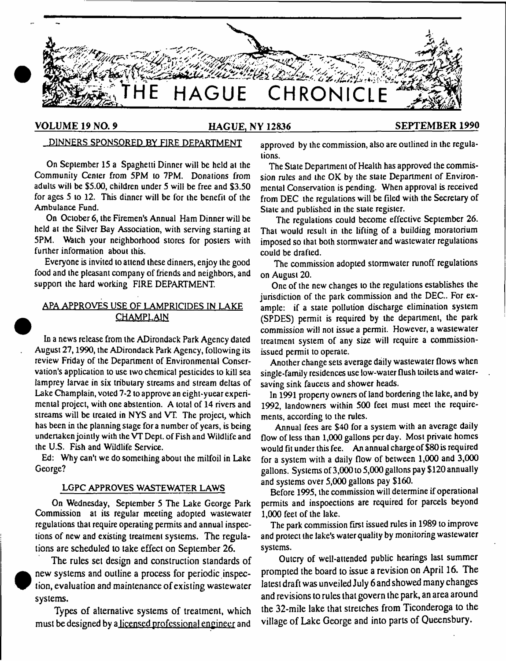

# **VOLUME 19 NO. 9\_\_\_\_\_\_\_\_\_\_\_\_\_\_\_\_\_\_\_HAGUE, NY 12836\_\_\_\_\_\_\_\_\_\_\_\_\_\_\_\_\_\_\_\_\_\_SEPTEMBER 1990**

# DINNERS SPONSORED BY FIRE DEPARTMENT

On September 15 a Spaghetti Dinner will be held at the Community Center from 5PM to 7PM. Donations from adults will be \$5.00, children under 5 will be free and \$3.50 for ages 5 to 12. This dinner will be for the benefit of the Ambulance Fund.

On October 6, the Firemen's Annual Ham Dinner will be held at the Silver Bay Association, with serving starting at 5PM. Watch your neighborhood stores for posters with further information about this.

Everyone is invited to attend these dinners, enjoy the good food and the pleasant company of friends and neighbors, and suppon the hard working FIRE DEPARTMENT

# APA APPROVES USE OF LAMPRICIDES IN LAKE **CHAMPLAIN**

In a news release from the ADirondack Park Agency dated August 27,1990, the ADirondack Park Agency, following its review Friday of the Department of Environmental Conservation's application to use two chemical pesticides to kill sea lamprey larvae in six tributary streams and stream deltas of Lake Champlain, voted 7-2 to approve an eight-yuear experimental project, with one abstention. A total of 14 rivers and streams will be treated in NYS and VT. The project, which has been in the planning stage for a number of years, is being undertaken jointly with the VT Dept, of Fish and Wildlife and the U.S. Fish and Wildlife Service.

Ed: Why can't we do something about the milfoil in Lake George?

# LGPC APPROVES WASTEWATER LAWS

On Wednesday, September 5 The Lake George Park Commission at its regular meeting adopted wastewater regulations that require operating permits and annual inspections of new and existing treatment systems. The regulations are scheduled to take effect on September 26.

The rules set design and construction standards of new systems and outline a process for periodic inspection, evaluation and maintenance of existing wastewater systems.

**•** 

Types of alternative systems of treatment, which must be designed by a licensed professional engineer and approved by the commission, also are outlined in the regulations.

The State Department of Health has approved the commission rules and the OK by the state Department of Environmental Conservation is pending. When approval is received from DEC the regulations will be Filed with the Secretary of State and published in the state register.

The regulations could become effective September 26. That would result in the lifting of a building moratorium imposed so that both stormwater and wastewater regulations could be drafted.

The commission adopted stormwater runoff regulations on August 20.

One of the new changes to the regulations establishes the jurisdiction of the park commission and the DEC.. For example: if a state pollution discharge elimination system (SPDES) permit is required by the department, the park commission will not issue a permit. However, a wastewater treatment system of any size will require a commissionissued permit to operate.

Another change sets average daily wastewater flows when single-family residences use low-water flush toilets and watersaving sink faucets and shower heads.

In 1991 property owners of land bordering the lake, and by 1992, landowners within 500 feet must meet the requirements, according to the rules.

Annual fees are \$40 for a system with an average daily flow of less than 1,000 gallons per day. Most private homes would fit under this fee. An annual charge of \$80 is required for a system with a daily flow of between 1,000 and 3,000 gallons. Systems of 3,000 to 5,000 gallons pay \$120 annually and systems over 5,000 gallons pay \$160.

Before 1995, the commission will determine if operational permits and inspoections are required for parcels beyond 1,000 feet of the lake.

The park commission first issued rules in 1989 to improve and protect the lake's water quality by monitoring wastewater systems.

Outcry of well-attended public hearings last summer prompted the board to issue a revision on April 16. The latest draft was unveiled July 6 and showed many changes and revisions to rules that govern the park, an area around the 32-mile lake that stretches from Ticonderoga to the village of Lake George and into parts of Queensbury.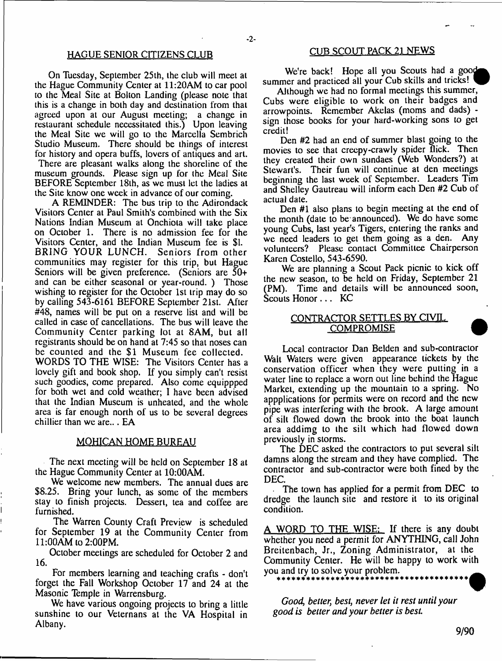## HAGUE SENIOR CITIZENS CLUB

On Tuesday, September 25th, the club will meet at the Hague Community Center at 11:20AM to car pool to the Meal Site at Bolton Landing (please note that this is a change in both day and destination from that agreed upon at our August meeting; a change in restaurant schedule necessitated this.) Upon leaving the Meal Site we will go to the Marcella Sembrich Studio Museum. There should be things of interest for history and opera buffs, lovers of antiques and art. There are pleasant walks along the shoreline of the museum grounds. Please sign up for the Meal Site BEFORE September 18th, as we must let the ladies at the Site know one week in advance of our coming.

A REMINDER: The bus trip to the Adirondack Visitors Center at Paul Smith's combined with the Six Nations Indian Museum at Onchiola will take place on October 1. There is no admission fee for the Visitors Center, and the Indian Museum fee is \$1. BRING YOUR LUNCH. Seniors from other communities may register for this trip, but Hague Seniors will be given preference. (Seniors are 50+ and can be either seasonal or year-round. ) Those wishing to register for the October 1st trip may do so by calling 543-6161 BEFORE September 21st. After #48, names will be put on a reserve list and will be called in case of cancellations. The bus will leave the Community Center parking lot at 8AM, but all registrants should be on hand at 7:45 so that noses can be counted and the \$1 Museum fee collected. WORDS TO THE WISE: The Visitors Center has a lovely gift and book shop. If you simply can't resist such goodies, come prepared. Also come equippped for both wet and cold weather; I have been advised that the Indian Museum is unheated, and the whole area is far enough north of us to be several degrees chillier than we are... EA

#### MOHICAN HOME BUREAU

The next meeting will be held on September 18 at the Hague Community Center at 10:00AM.

We welcome new members. The annual dues are \$8.25. Bring your lunch, as some of the members stay to finish projects. Dessert, tea and coffee are furnished.

The Warren County Craft Preview is scheduled for September 19 at the Community Center from 11:00AM to 2:00PM.

October meetings are scheduled for October 2 and 16.

For members learning and teaching crafts - don't forget the Fall Workshop October 17 and 24 at the Masonic Temple in Warrensburg.

We have various ongoing projects to bring a little sunshine to our Veternans at the VA Hospital in Albany.

## CUB SCOUT PACK 21 NEWS

We're back! Hope all you Scouts had a good summer and practiced all your Cub skills and tricks!

Although we had no formal meetings this summer, Cubs were eligible to work on their badges and arrowpoints. Remember Akelas (moms and dads) sign those books for your hard-working sons to get credit!

Den #2 had an end of summer blast going to the movies to see that creepy-crawly spider flick. Then they created their own sundaes (Web Wonders?) at Stewart's. Their fun will continue at den meetings beginning the last week of September. Leaders Tim and Shelley Gautreau will inform each Den #2 Cub of actual date.

Den #1 also plans to begin meeting at the end of the month (date to be announced). We do have some young Cubs, last year's Tigers, entering the ranks and we need leaders to get them going as a den. Any volunteers? Please contact Committee Chairperson Karen Costello, 543-6590.

We are planning a Scout Pack picnic to kick off the new season, to be held on Friday, September 21 (PM). Time and details will be announced soon, Scouts Honor . . . KC

# CONTRACTOR SETTLES BY CIVIL COMPROMISE

Local contractor Dan Belden and sub-contractor Walt Waters were given appearance tickets by the conservation officer when they were putting in a water line to replace a worn out line behind the Hague Market, extending up the mountain to a spring. No appplications for permits were on record and the new pipe was interfering with the brook. A large amount of silt flowed down the brook into the boat launch area addimg to the silt which had flowed down previously in storms.

The DEC asked the contractors to put several silt damns along the stream and they have complied. The contractor and sub-contractor were both fined by the DEC.

. The town has applied for a permit from DEC to dredge the launch site and restore it to its original condition.

A WORD TO THE WISE: If there is any doubt whether you need a permit for ANYTHING, call John Breitenbach, Jr., Zoning Administrator, at the Community Center. He will be happy to work with you and try to solve your problem.

*Good, better*; *best, never let it rest until your good is better and your better is best*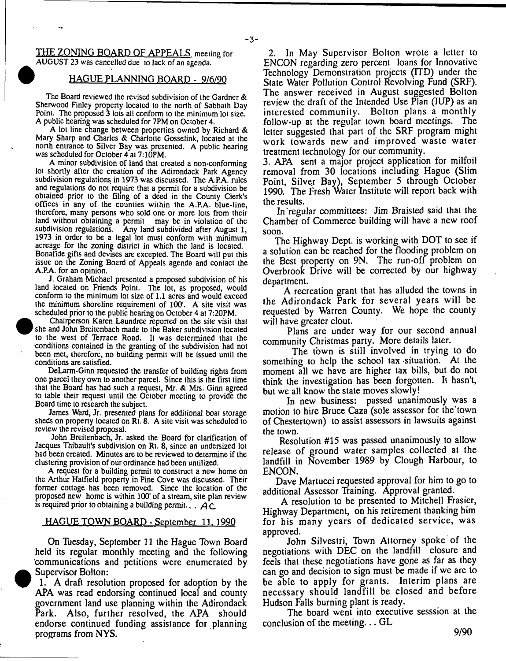$-3-$ 

THE ZONING BOARD OF APPEALS meeting for AUGUST 23 **was cancelled** due 10 **lack** of **an agenda.**

#### **1 HAGUE PLANNING BOARD - 9/6/90**

The Board reviewed the revised subdivision of the Gardner & Sherwood Finley property located to the north of Sabbath Day Point. The proposed 3 lots all conform to the minimum lot size. A public hearing was scheduled for 7PM on October 4.

A lot line change between properties owned by Richard & Mary Sharp and Charles & Charlotte Gosselink, located at the north entrance to Silver Bay was presented. A public hearing was scheduled for October 4 at 7:10PM.

A minor subdivision of land that created a non-conforming lot shortly after the creation of the Adirondack Park Agency subdivision regulations in 1973 was discussed. The A.P.A. rules and regulations do not require that a permit for a subdivision be obtained prior to the filing of a deed in the County Clerk's offices in any of the counties within the A.P.A. blue-line, therefore, many persons who sold one or more lots from their land without obtaining a permit may be in violation of the subdivision regulations. Any land subdivided after August 1, 1973 in order to be a legal lot must conform with minimum acreage for the zoning district in which the land is located. Bonafide gifts and devises are excepted. The Board will put this issue on the Zoning Board of Appeals agenda and contact the A.P.A. for an opinion.

J. Graham Michael presented a proposed subdivision of his land located on Friends Point. The lot, as proposed, would conform to the minimum lot size of 1.1 acres and would exceed the minimum shoreline requirement of 100'. A site visit was scheduled prior to the public hearing on October 4 at 7:20PM.

Chairperson Karen Laundree reported on the site visit that she and John Breitenbach made to the Baker subdivision located to the west of Terrace Road. It was determined that the •conditions contained in the granting of the subdivision had not been met, therefore, no building permit will be issued until the conditions are satisfied.

DeLarm-Ginn requested the transfer of building rights from one parcel they own to another parcel. Since this is the first time that the Board has had such a request, Mr. & Mrs. Ginn agreed to table their request until the October meeting to provide the Board time to research the subject.

James Ward, Jr. presented plans for additional boat storage sheds on property located on Rt. 8. A site visit was scheduled to review the revised proposal.

John Breitenbach, Jr. asked the Board for clarification of Jacques Thibault's subdivision on Rt. 8, since an undersized lot had been created. Minutes are to be reviewed to determine if the clustering provision of our ordinance had been untilized.

A request for a building permit to construct a new home on the Arthur Hatfield property in Pine Cove was discussed. Their former cottage has been removed. Since the location of the proposed new home is within 100' of a stream, site plan review is required prior to obtaining a building permit...  $\overrightarrow{AC}$ 

#### HAGUE TOWN BOARD - September 11. 1990

On Tuesday, September 11 the Hague Town Board held its regular monthly meeting and the following 'communications and petitions were enumerated by Supervisor Bolton:

1. A draft resolution proposed for adoption by the APA was read endorsing continued local and county government land use planning within the Adirondack Park. Also, further resolved, the APA should endorse continued funding assistance for planning programs from NYS.

2. In May Supervisor Bolton wrote a letter to ENCON regarding zero percent loans for Innovative Technology Demonstration projects (ITD) under the State Water Pollution Control Revolving Fund (SRF). The answer received in August suggested Bolton review the draft of the Intended Use Plan (IUP) as an interested community. Bolton plans a monthly follow-up at the regular town board meetings. The letter suggested that part of the SRF program might work towards new and improved waste water treatment technology for our community.

3. APA sent a major project application for milfoil removal from 30 locations including Hague (Slim Point, Silver Bay), September 5 through October 1990. The Fresh Water Institute will report back with the results.

In regular committees: Jim Braisted said that the Chamber of Commerce building will have a new roof soon.

The Highway Dept, is working with DOT to see if a solution can be reached for the flooding problem on the Best property on 9N. The run-off problem on Overbrook Drive will be corrected by our highway department.

A recreation grant that has alluded the towns in the Adirondack Park for several years will be requested by Warren County. We hope the county will have greater clout.

Plans are under way for our second annua) community Christmas party. More details later.

The town is still involved in trying to do something to help the school tax situation. At the moment all we have are higher tax bills, but do not think the investigation has been forgotten. It hasn't, but we all know the state moves slowly!

In new business: passed unanimously was a motion to hire Bruce Caza (sole assessor for the town of Chestertown) to assist assessors in lawsuits against the town.

Resolution #15 was passed unanimously to allow release of ground water samples collected at the landfill in November 1989 by Clough Harbour, to ENCON.

Dave Martucci requested approval for him to go to additional Assessor Training. Approval granted.

A resolution to be presented to Mitchell Frasier, Highway Department, on his retirement thanking him for his many years of dedicated service, was approved.

John Silvestri, Town Attorney spoke of the negotiations with DEC on the landfill closure and feels that these negotiations have gone as far as they can go and decision to sign must be made if we are to be able to apply for grants. Interim plans are necessary should landfill be closed and before Hudson Falls burning plant is ready.

The board went into executive sesssion at the conclusion of the meeting... GL

**9/90**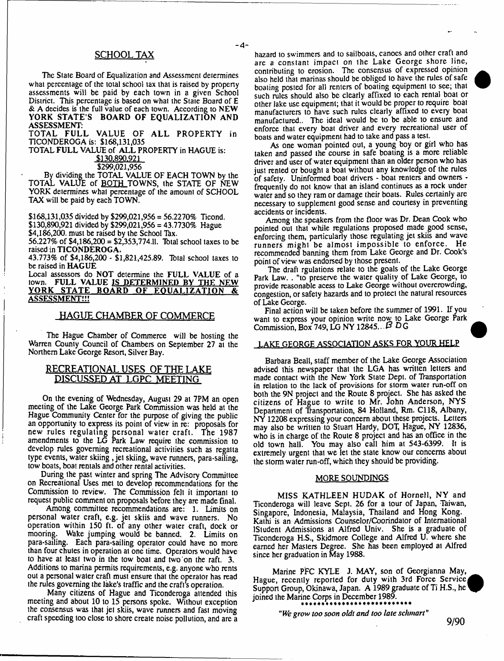## SCHOOLTAX

The Slate Board of Equalization and Assessment determines what percentage of the total school tax that is raised by property assessments will be paid by each town in a given School District. This percentage is based on what the State Board of E & A decides is the full value of each town. According to NEW YORK STATE'S BOARD OF EQUALIZATION AND ASSESSMENT:

 $-A-$ 

TOTAL FULL VALUE OF ALL PROPERTY in TICONDEROGA is: \$168,131,035

TOTAL FULL VALUE of ALL PROPERTY in HAGUE is: \$130.890.921

\$299,021,956

By dividing the TOTAL VALUE OF EACH TOWN by the TOTAL VALUE of BOTH TOWNS, the STATE OF NEW YORK determines what percentage of the amount of SCHOOL TAX will be paid by each TOWN.

\$168,131,035 divided by \$299,021,956 = 56.2270% Ticond. \$130,890,921 divided by \$299,021,956 = 43.7730% Hague \$4,186,200. must be raised by the School Tax. 56.227% of \$4,186,200 = \$2,353,774.11. Total school taxes to be

raised in TICONDEROGA.

43.773% of \$4,186,200 - \$1,821,425.89. Tbtal school taxes to be raised in HAGUE

Local assessors do NOT determine the FULL VALUE of a town. FULL VALUE IS DETERMINED BY THE NEW YORK STATE BOARD OF EQUALIZATION & ASSESSMENT!!!

## HAGUE CHAMBER OF COMMERCE

The Hague Chamber of Commerce will be hosting the Warren County Council of Chambers on September 27 at the Northern Lake George Resort, Silver Bay.

## RECREATIONAL USES OF THE LAKE DISCUSSED AT LGPC MEETING

On the evening of Wednesday, August 29 at 7PM an open meeting of the Lake George Park Commission was held at the Hague Community Center for the purpose of giving the public an opportunity to express its point of view in re: proposals for new rules regulating personal w ater craft. The 1987 amendments to the LG Park Law require the commission to develop rules governing recreational activities such as regatta type events, water skiing, jet skiing, wave runners, para-sailing, tow boats, boat rentals and other rental activities.

During the past winter and spring The Advisory Committee on Recreational Uses met to develop recommendations for the Commission to review. The Commission felt it important to request public comment on proposals before they are made final.

Among committee recommendations are: 1. Limits on personal water craft, e.g. jet skiis and wave runners. No operation within 150 ft. of any other water craft, dock or mooring. Wake jumping would be banned. 2. Limits on para-sailing. Each para-sailing operator could have no more than four chutes in operation at one time. Operators would have to have at least two in the tow boat and two on the raft. 3. Additions to marina permits requirements, e.g. anyone who rents out a personal water craft must ensure that the operator has read the rules governing the lake's traffic and the craft's operation.

Many citizens of Hague and Ticonderoga attended this meeting and about 10 to 15 persons spoke. Without exception the consensus was that jet skiis, wave runners and fast moving craft speeding too close to shore create noise pollution, and are a hazard to swimmers and to sailboats, canocs and other craft and are a constant impact on the Lake George shore line, contributing to erosion. The consensus of expressed opinion also held that marinas should be obliged to have the rules of safe boating posted for all renters of boating equipment to see; that such rules should also be clearly affixed to each rental boat or other lake use equipment; that it would be proper to require boat manufacturers to have such rules clearly affixed to every boat manufactured.. The ideal would be to be able to ensure and enforce that every boat driver and every recreational user of boats and water equipment had to take and pass a test.

As one woman pointed out, a young boy or girl who has taken and passed the course in safe boating is a more reliable driver and user of water equipment than an older person who has just rented or bought a boat without any knowledge of the rules of safety. Uninformed boat drivers - boat renters and owners frequently do not know that an island continues as a rock under water and so they ram or damage their boats. Rules certainly are necessary to supplement good sense and courtesy in preventing accidents or incidents.

Among the speakers from the floor was Dr. Dean Cook who pointed out that while regulations proposed made good sense, enforcing them, particularly those regulating jet skiis and wave runners might be almost impossible to enforce. He recommended banning them from Lake George and Dr. Cook's point of view was endorsed by those present.

The draft rgulations relate to the goals of the Lake George Park Law. . "to preserve the water quality of Lake George, to provide reasonable acess to Lake George without overcrowding, congestion, or safety hazards and to protect the natural resources of Lake George.

Final action will be taken before the summer of 1991. If you want to express your opinion write now to Lake George Park Commission, Box 749, LG NY 12845... P D G

#### LAKE GEORGE ASSOCIATION ASKS FOR YOUR HELP

Barbara Beall, staff member of the Lake George Association advised this newspaper that the LGA has written letters and made contact with the New York State Dept, of Transportation in relation to the lack of provisions for storm water run-off on both the 9N project and the Route 8 project. She has asked the citizens of Hague to write to Mr. John Anderson, NYS Department of Transportation, 84 Holland, Rm. C118, Albany, NY 12208 expressing your concern about these projects. Letters may also be written to Stuart Hardy, DOT, Hague, NY 12836, who is in charge of the Route 8 project and has an office in the old towm hall. You may also call him at 543-6399. It is extremely urgent that we let the state know our concerns about the storm water run-off, which they should be providing.

#### MORE SOUNDINGS

MISS KATHLEEN HUDAK of Hornell, NY and Ticonderoga will leave Sept. 26 for a tour of Japan, Thiwan, Singapore, Indonesia, Malaysia, Thailand and Hong Kong. Kathi is an Admissions Counselor/Coorindalor of International IStudent Admissions at Alfred Univ. She is a graduate of Ticonderoga H.S., Skidmore College and Alfred U. where she earned her Masters Degree. She has been employed at Alfred since her graduation in May 1988.

Marine PFC KYLE J. MAY, son of Georgianna May, Hague, recently reported for duty with 3rd Force Service Support Group, Okinawa, Japan. A 1989 graduate of Ti H.S., he joined the Marine Corps in December 1989.

*"We grow too soon oldt and too late schmart"*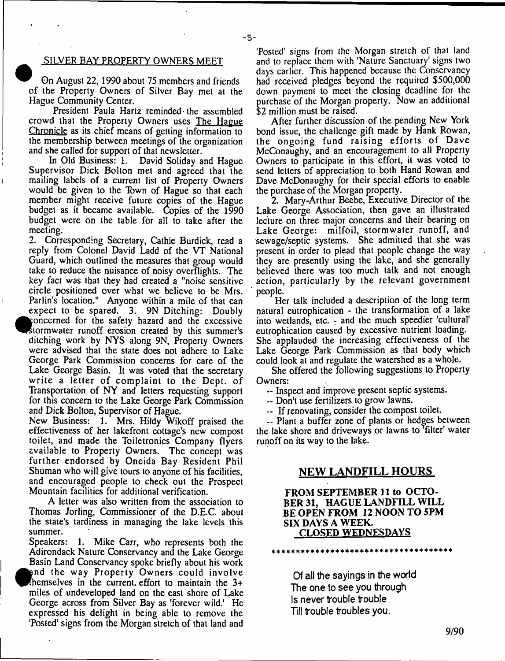## SILVER BAY PROPERTY OWNERS MEET

- **5**-

On August 22,1990 about 75 members and friends of the Property Owners of Silver Bay met at the Hague Community Center.

President Paula Hartz reminded the assembled crowd that the Properly Owners uses The Hague Chronicle as its chief means of getting information to the membership between meetings of the organization and she called for support of that newsletter.

In Old Business: 1. David Soliday and Hague Supervisor Dick Bolton met and agreed that the mailing labels of a current list of Property Owners would be given to the Town of Hague so that each member might receive future copies of the Hague budget as it became available. Copies of the 1990 budget were on the table for all to take after the meeting.

2. Corresponding Secretary, Cathie Burdick, read a reply from Colonel David Ladd of the VT National Guard, which outlined the measures that group would take to reduce the nuisance of noisy overflights. The key fact was that they had created a "noise sensitive circle positioned over what we believe to be Mrs. Parlin's location." Anyone within a mile of that can expect to be spared. 3. 9N Ditching: Doubly concerned for the safety hazard and the excessive storm water runoff erosion created by this summer's ditching work by NYS along 9N, Property Owners were advised that the state does not adhere to Lake George Park Commission concerns for care of the Lake George Basin. It was voted that the secretary write a letter of complaint to the Dept, of Transportation of NY and letters requesting support for this concern to the Lake George Park Commission and Dick Bolton, Supervisor of Hague.

New Business: 1. Mrs. Hildy Wikoff praised the effectiveness of her lakefront cottage's new compost toilet, and made the Toiletronics Company flyers available to Property Owners. The concept was further endorsed by Oneida Bay Resident Phil Shuman who will give tours to anyone of his facilities, and encouraged people to check out the Prospect Mountain facilities for additional verification.

A letter was also written from the association to Thomas Jorling, Commissioner of the D.E.C. about the state's tardiness in managing the lake levels this summer.

Speakers: 1. Mike Carr, who represents both the Adirondack Nature Conservancy and the Lake George Basin Land Conservancy spoke briefly about his work  $\bullet$ and the way Property Owners could involve hemselves in the current, effort to maintain the 3+ miles of undeveloped land on the east shore of Lake George across from Silver Bay as 'forever wild.' He expressed his delight in being able to remove the 'Posted' signs from the Morgan stretch of that land and

'Posted' signs from the Morgan stretch of that land and to replace them with 'Nature Sanctuary' signs two days earlier. This happened because the Conservancy had received pledges beyond the required \$500,000 down payment to meet the closing deadline for the purchase of the Morgan property. Now an additional \$2 million must be raised.

After further discussion of the pending New York bond issue, the challenge gift made by Hank Rowan, the ongoing fund raising efforts of Dave McConaughy, and an encouragement to all Property Owners to participate in this effort, it was voted to send letters of appreciation to both Hand Rowan and Dave McDonaughy for their special efforts to enable the purchase of the Morgan property.

2. Mary-Arthur Beebe, Executive Director of the Lake George Association, then gave an illustrated lecture on three major concerns and their bearing on Lake George: milfoil, stormwater runoff, and sewage/septic systems. She admitted that she was present in order to plead that people change the way they are presently using the lake, and she generally believed there was too much talk and not enough action, particularly by the relevant government people.

Her talk included a description of the long term natural eutrophication - the transformation of a lake into wetlands, etc.  $\frac{1}{x}$  and the much speedier 'cultural' eutrophication caused by excessive nutrient loading. She applauded the increasing effectiveness of the Lake George Park Commission as that body which could look at and regulate the watershed as a whole.

She offered the following suggestions to Property Owners:

— Inspect and improve present septic systems.

— Don't use fertilizers to grow lawns.

— If renovating, consider the compost toilet.

~ Plant a buffer zone of plants or hedges between the lake shore and driveways or lawns to 'filter' water runoff on its way to the lake.

# **NEW LANDFILL HOURS**

# **FROM SEPTEMBER 11 to OCTO-BER 31, HAGUE LANDFILL WILL BE OPEN FROM 12 NOON TO 5PM SIX DAYS A WEEK. CLOSED WEDNESDAYS**

\* \* \* \* \* \* \* \* \* \* \* \* \* \* \* \* \* \* \* \* \* \* \* \* \* \* \* \* \* \* \* \* \* \* \* \* \*

**Of all the sayings in the world The one to see you through Is never trouble trouble Till trouble troubles you.**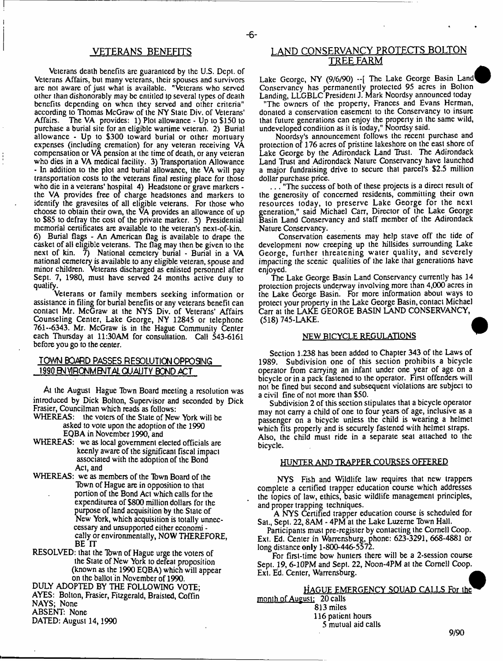# VETERANS BENEFITS

- **6**-

Veterans death benefits are guaranteed by the U.S. Dept, of Veterans Affairs, but many veterans, their spouses and survivors are not aware of just what is available. "Veterans who served other than dishonorably may be entitled to several types of death benefits depending on when they served and other criteria" according to Thomas McGraw of the NY State Div. of Veterans' Affairs. The VA provides: 1) Plot allowance - Up to \$150 to purchase a burial site for an eligible wartime veteran. 2) Burial allowance - Up to \$300 toward burial or other mortuary expenses (including cremation) for any veteran receiving VA compensation or VA pension at the time of death, or any veteran who dies in a VA medical facility. 3) Transportation Allowance - In addition to the plot and burial allowance, the VA will pay transportation costs to the veterans final resting place for those who die in a veterans' hospital 4) Headstone or grave markers the VA provides free of charge headstones and markers to identify the gravesites of all eligible veterans. For those who choose to obtain their own, the VA provides an allowance of up to \$85 to defray the cost of the private marker. 5) Presidential memorial certificates are available to the veteran's next-of-kin. 6) Burial flags - An American flag is available to drape the casket of all eligible veterans. The flag may then be given to the next of kin.  $\bar{7}$ ) National cemetery burial - Burial in a VA national cemetery is available to any eligible veteran, spouse and minor children. Veterans discharged as enlisted personnel after Sept. 7, 1980, must have served 24 months active duty to qualify.

Veterans or family members seeking information or assistance in filing for burial benefits or any veterans benefit can contact Mr. McGraw at the NYS Div. of Veterans' Affairs Counseling Center, Lake George, NY 12845 or telephone 761--6343. Mr. McGraw is in the Hague Community Center each Thursday at 11:30AM for consultation. Call 543-6161 before you go to the center.

# **TOWN BOARD PASSES RESOLUTION OPPOSING 199Q^JVlRONMBvJTALQUAUTV BOND ACT**

At the August Hague Tbwn Board meeting a resolution was introduced by Dick Bolton, Supervisor and seconded by Dick Frasier, Councilman which reads as follows:

WHEREAS: the voters of the State of New York will be asked to vote upon the adoption of the 1990 EQBA in November 1990, and

- WHEREAS: we as local government elected officials are keenly aware of the significant fiscal impact associated with the adoption of the Bond Act, and
- WHEREAS: we as members of the Town Board of the Tbwn of Hague are in opposition to that portion of the Bond Act which calls for the expenditurea of \$800 million dollars for the puipose of land acquisition by the State of New York, which acquisition is totally unneccessary and unsupported either economi cally or environmentally, NOW THEREFORE, BE IT

RESOLVED: that the Tbwn of Hague urge the voters of the State of New York to defeat proposition (known as the 1990 EQBA) which will appear on the ballot in November of 1990.

DULY ADOPTED BY THE FOLLOWING VOTE; AYES: Bolton, Frasier, Fitzgerald, Braisted, Coffin NAYS; None

ABSENT: None

DATED: August 14,1990

# LAND CONSERVANCY PROTECTS BOLTON TREF. FARM

Lake George, NY (9/6/90)  $-$ [ The Lake George Basin Land Conservancy has permanently protected 95 acres in Bolton Landing, LLGBLC President J. Mark Noordsy announced today

"The owners of the property, Frances and Evans Herman, donated a conservation easement to the Conservancy to insure that future generations can enjoy the property in the same wild, undeveloped condition as it is today," Noordsy said.

Noordsy's announcement follows the recent purchase and protection of 176 acres of pristine lakeshore on the east shore of Lake George by the Adirondack Land Trust. The Adirondack Land Trust and Adirondack Nature Conservancy have launched a major fundraising drive to secure that parcel's \$2.5 million dollar purchase price.

. . . "The success of both of these projects is a direct result of the generosity of concerned residents, committing their own resources today, to preserve Lake George for the next generation," said Michael Carr, Director of the Lake George Basin Land Conservancy and staff member of the Adirondack Nature Conservancy.

Conservation easements may help stave off the tide of development now creeping up the hillsides surrounding Lake George, further threatening water quality, and severely impacting the scenic qualities of the lake that generations have enjoyed.

The Lake George Basin Land Conservancy currently has 14 protection projects underway involving more than 4,000 acres in the Lake George Basin. For more information about ways to protect your property in the Lake George Basin, contact Michael Carr at the LAKE GEORGE BASIN LAND CONSERVANCY, (518) 745-LAKE.

#### NEW BICYCLE REGULATIONS

Section 1.238 has been added to Chapter 343 of the Laws of 1989. Subdivision one of this section prohibits a bicycle operator from carrying an infant under one year of age on a bicycle or in a pack fastened to the operator. First offenders will not be fined but second and subsequent violations are subject to a civil fine of not more than \$50.

Subdivision 2 of this section stipulates that a bicycle operator may not carry a child of one to four years of age, inclusive as a passenger on a bicycle unless the child is wearing a helmet which fits properly and is securely fastened with helmet straps. Also, the child must ride in a separate seal attached to the bicycle.

#### HUNTER AND TRAPPER COURSES OFFERED

NYS Fish and Wildlife law requires that new trappers complete a certified trapper education course which addresses the topics of law, ethics, basic wildlife management principles, and proper trapping techniques.

A NYS Certified trapper education course is scheduled for Sat., Sept. 22, SAM - 4PM at the Lake Luzerne Tbwn Hall.

Participants must pre-register by contacting the Cornell Coop. Ext. Ed. Center in Warrensburg, phone: 623-3291, 668-4881 or long distance only 1-800-446-5572.

For first-time bow hunters there will be a 2-session course Sept. 19, 6-10PM and Sept. 22, Noon-4PM at the Cornell Coop. Ext. Ed. Center, Warrensburg.

# HAGUE EMERGENCY SQUAD CALLS For the\* month of August: 20 calls

813 miles

116 patient hours

5 mutual aid calls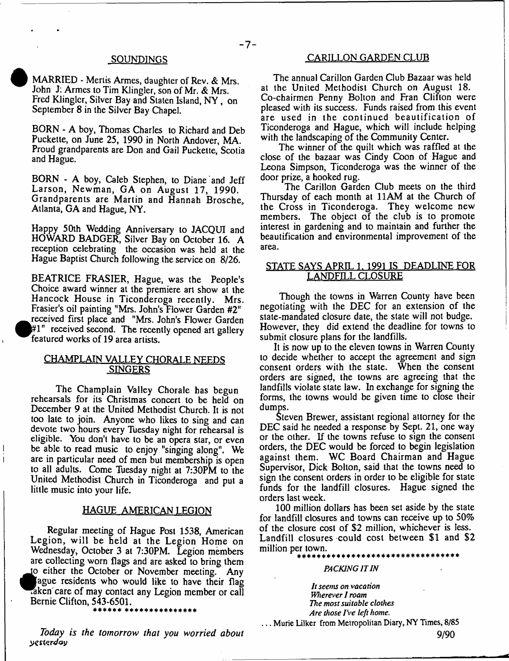#### **S0UND1NGS**

MARRIED - Mertis Armes, daughter of Rev. & Mrs. John J: Armes to Tim Klingler, son of Mr. & Mrs. Fred Klingler, Silver Bay and Staten Island, NY, on September 8 in the Silver Bay Chapel.

BORN - A boy, Thomas Charles to Richard and Deb Puckette, on June 25, 1990 in North Andover, MA. Proud grandparents are Don and Gail Puckette, Scotia and Hague.

BORN - A boy, Caleb Stephen, to Diane and Jeff Larson, Newman, GA on August 17, 1990. Grandparents are Martin and Hannah Brosche, Atlanta, GA and Hague, NY.

Happy 50th Wedding Anniversary to JACQUI and HOWARD BADGER, Silver Bay on October 16. A reception celebrating the occasion was held at the Hague Baptist Church following the service on 8/26.

BEATRICE FRASIER, Hague, was the People's Choice award winner at the premiere art show at the Hancock House in Ticonderoga recently. Mrs. Frasier's oil painting "Mrs. John's Flower Garden #2"  $\bullet$ received first place and "Mrs. John's Flower Garden  $#1"$  received second. The recently opened art gallery featured works of 19 area artists.

# CHAMPLAIN VALLEY CHORALE NEEDS SINGERS

The Champlain Valley Chorale has begun rehearsals for its Christmas concert to be held on December 9 at the United Methodist Church. It is not too late to join. Anyone who likes to sing and can devote two hours every Tuesday night for rehearsal is eligible. Ybu don't have to be an opera star, or even be able to read music to enjoy "singing along". We are in particular need of men but membership is open to all adults. Come Tuesday night at 7:30PM to the United Methodist Church in Ticonderoga and put a little music into your life.

#### HAGUE AMERICAN LEGION

Regular meeting of Hague Post 1538, American Legion, will be held at the Legion Home on Wednesday, October 3 at 7:30PM. Legion members are collecting worn flags and are asked to bring them to either the October or November meeting. Any ague residents who would like to have their flag .aken care of may contact any Legion member or call Bernie Clifton, 543-6501.

#### \*\*\*\*\*\* \*\*\*\*\*\*\*\*\*\*\*\*\*\*

*Today is the tomorrow that you worried about yes terdoy*

# CARILLON GARDEN CLUB

The annual Carillon Garden Club Bazaar was held at the United Methodist Church on August 18. Co-chairmen Penny Bolton and Fran Clifton were pleased with its success. Funds raised from this event are used in the continued beautification of Ticonderoga and Hague, which will include helping with the landscaping of the Community Center.

The winner of the quilt which was raffled at the close of the bazaar was Cindy Coon of Hague and Leona Simpson, Ticonderoga was the winner of the door prize, a hooked rug.

The Carillon Garden Club meets on the third Thursday of each month at 11AM at the Church of the Cross in Ticonderoga. They welcome new members. The object of the club is to promote interest in gardening and to maintain and further the beautification and environmental improvement of the area.

# STATE SAYS APRIL 1. 1991 IS DEADLINE FOR LANDFILL CLOSURE

Though the towns in Warren County have been negotiating with the DEC for an extension of the state-mandated closure date, the slate will not budge. However, they did extend the deadline for towns to submit closure plans for the landfills.

It is now up to the eleven towns in Warren County to decide whether to accept the agreement and sign consent orders with the state. When the consent orders are signed, the towns are agreeing that the landfills violate state law. In exchange for signing the forms, the towns would be given time to close their dumps.

Steven Brewer, assistant regional attorney for the DEC said he needed a response by Sept. 21, one way or the other. If the towns refuse to sign the consent orders, the DEC would be forced to begin legislation against them. WC Board Chairman and Hague Supervisor, Dick Bolton, said that the towns need to sign the consent orders in order to be eligible for state funds for the landfill closures. Hague signed the orders last week.

100 million dollars has been set aside by the state for landfill closures and towns can receive up to 50% of the closure cost of \$2 million, whichever is less. Landfill closures could cost between \$1 and \$2 million per town.

# \* \* \* \* \* \* \* \* \* \* \* \* \* \* \* \* \* \* \* \* \* \* \* \* \* \* \* \* \* \* \* \* \*

#### *PACKING IT IN*

*It seems on vacation Wherever I roam The most suitable clothes Are those I've left home.*

. . . Murie Lilker from Metropolitan Diary, NY Times, 8/85

**9/90**